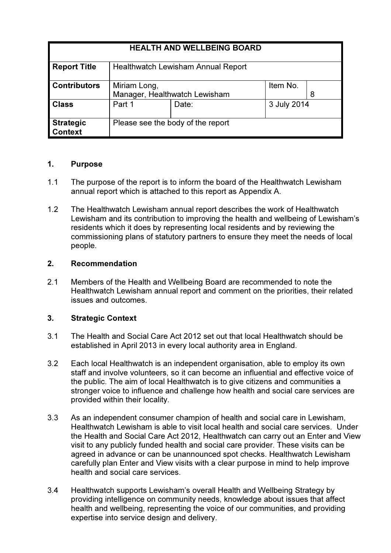| <b>HEALTH AND WELLBEING BOARD</b>  |                                               |       |             |   |
|------------------------------------|-----------------------------------------------|-------|-------------|---|
| <b>Report Title</b>                | <b>Healthwatch Lewisham Annual Report</b>     |       |             |   |
| <b>Contributors</b>                | Miriam Long,<br>Manager, Healthwatch Lewisham |       | Item No.    | 8 |
| <b>Class</b>                       | Part 1                                        | Date: | 3 July 2014 |   |
| <b>Strategic</b><br><b>Context</b> | Please see the body of the report             |       |             |   |

### 1. Purpose

- 1.1 The purpose of the report is to inform the board of the Healthwatch Lewisham annual report which is attached to this report as Appendix A.
- 1.2 The Healthwatch Lewisham annual report describes the work of Healthwatch Lewisham and its contribution to improving the health and wellbeing of Lewisham's residents which it does by representing local residents and by reviewing the commissioning plans of statutory partners to ensure they meet the needs of local people.

## 2. Recommendation

2.1 Members of the Health and Wellbeing Board are recommended to note the Healthwatch Lewisham annual report and comment on the priorities, their related issues and outcomes.

# 3. Strategic Context

- 3.1 The Health and Social Care Act 2012 set out that local Healthwatch should be established in April 2013 in every local authority area in England.
- 3.2 Each local Healthwatch is an independent organisation, able to employ its own staff and involve volunteers, so it can become an influential and effective voice of the public. The aim of local Healthwatch is to give citizens and communities a stronger voice to influence and challenge how health and social care services are provided within their locality.
- 3.3 As an independent consumer champion of health and social care in Lewisham, Healthwatch Lewisham is able to visit local health and social care services. Under the Health and Social Care Act 2012, Healthwatch can carry out an Enter and View visit to any publicly funded health and social care provider. These visits can be agreed in advance or can be unannounced spot checks. Healthwatch Lewisham carefully plan Enter and View visits with a clear purpose in mind to help improve health and social care services.
- 3.4 Healthwatch supports Lewisham's overall Health and Wellbeing Strategy by providing intelligence on community needs, knowledge about issues that affect health and wellbeing, representing the voice of our communities, and providing expertise into service design and delivery.